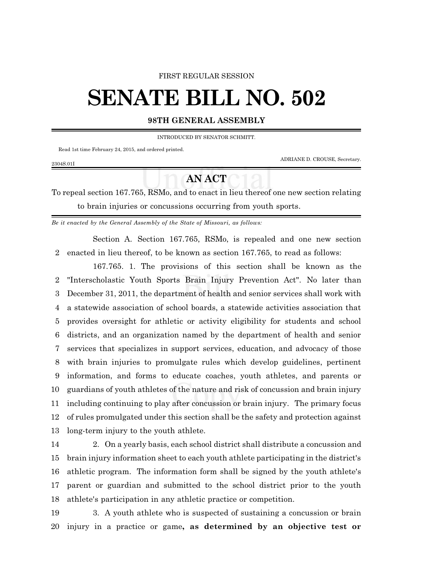## FIRST REGULAR SESSION

## **SENATE BILL NO. 502**

## **98TH GENERAL ASSEMBLY**

INTRODUCED BY SENATOR SCHMITT.

Read 1st time February 24, 2015, and ordered printed.

ADRIANE D. CROUSE, Secretary.

## **AN ACT**

To repeal section 167.765, RSMo, and to enact in lieu thereof one new section relating to brain injuries or concussions occurring from youth sports.

*Be it enacted by the General Assembly of the State of Missouri, as follows:*

Section A. Section 167.765, RSMo, is repealed and one new section enacted in lieu thereof, to be known as section 167.765, to read as follows:

167.765. 1. The provisions of this section shall be known as the "Interscholastic Youth Sports Brain Injury Prevention Act". No later than December 31, 2011, the department of health and senior services shall work with a statewide association of school boards, a statewide activities association that provides oversight for athletic or activity eligibility for students and school districts, and an organization named by the department of health and senior services that specializes in support services, education, and advocacy of those with brain injuries to promulgate rules which develop guidelines, pertinent information, and forms to educate coaches, youth athletes, and parents or guardians of youth athletes of the nature and risk of concussion and brain injury including continuing to play after concussion or brain injury. The primary focus of rules promulgated under this section shall be the safety and protection against long-term injury to the youth athlete.

 2. On a yearly basis, each school district shall distribute a concussion and brain injury information sheet to each youth athlete participating in the district's athletic program. The information form shall be signed by the youth athlete's parent or guardian and submitted to the school district prior to the youth athlete's participation in any athletic practice or competition.

 3. A youth athlete who is suspected of sustaining a concussion or brain injury in a practice or game**, as determined by an objective test or**